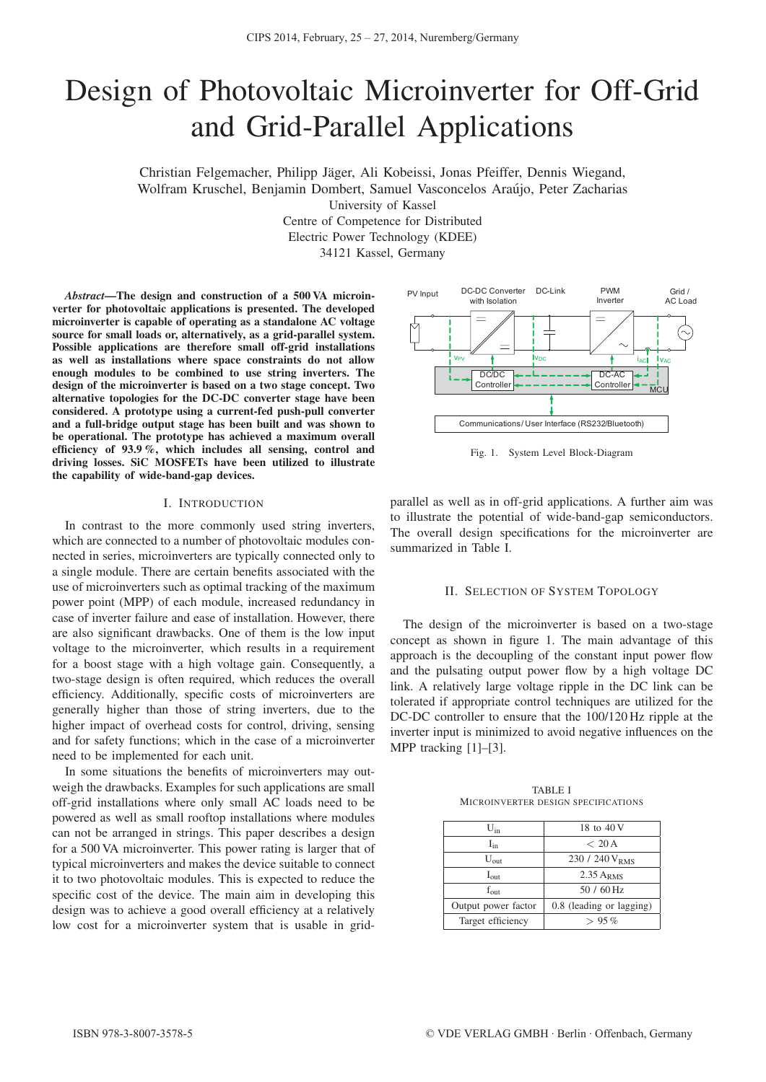# Design of Photovoltaic Microinverter for Off-Grid and Grid-Parallel Applications

Christian Felgemacher, Philipp Jager, Ali Kobeissi, Jonas Pfeiffer, Dennis Wiegand, ¨ Wolfram Kruschel, Benjamin Dombert, Samuel Vasconcelos Araujo, Peter Zacharias ´ University of Kassel

> Centre of Competence for Distributed Electric Power Technology (KDEE) 34121 Kassel, Germany

*Abstract*—The design and construction of a 500 VA microinverter for photovoltaic applications is presented. The developed microinverter is capable of operating as a standalone AC voltage source for small loads or, alternatively, as a grid-parallel system. Possible applications are therefore small off-grid installations as well as installations where space constraints do not allow enough modules to be combined to use string inverters. The design of the microinverter is based on a two stage concept. Two alternative topologies for the DC-DC converter stage have been considered. A prototype using a current-fed push-pull converter and a full-bridge output stage has been built and was shown to be operational. The prototype has achieved a maximum overall efficiency of 93.9 %, which includes all sensing, control and driving losses. SiC MOSFETs have been utilized to illustrate the capability of wide-band-gap devices.

## I. INTRODUCTION

In contrast to the more commonly used string inverters, which are connected to a number of photovoltaic modules connected in series, microinverters are typically connected only to a single module. There are certain benefits associated with the use of microinverters such as optimal tracking of the maximum power point (MPP) of each module, increased redundancy in case of inverter failure and ease of installation. However, there are also significant drawbacks. One of them is the low input voltage to the microinverter, which results in a requirement for a boost stage with a high voltage gain. Consequently, a two-stage design is often required, which reduces the overall efficiency. Additionally, specific costs of microinverters are generally higher than those of string inverters, due to the higher impact of overhead costs for control, driving, sensing and for safety functions; which in the case of a microinverter need to be implemented for each unit.

In some situations the benefits of microinverters may outweigh the drawbacks. Examples for such applications are small off-grid installations where only small AC loads need to be powered as well as small rooftop installations where modules can not be arranged in strings. This paper describes a design for a 500 VA microinverter. This power rating is larger that of typical microinverters and makes the device suitable to connect it to two photovoltaic modules. This is expected to reduce the specific cost of the device. The main aim in developing this design was to achieve a good overall efficiency at a relatively low cost for a microinverter system that is usable in grid-



Fig. 1. System Level Block-Diagram

parallel as well as in off-grid applications. A further aim was to illustrate the potential of wide-band-gap semiconductors. The overall design specifications for the microinverter are summarized in Table I.

#### II. SELECTION OF SYSTEM TOPOLOGY

The design of the microinverter is based on a two-stage concept as shown in figure 1. The main advantage of this approach is the decoupling of the constant input power flow and the pulsating output power flow by a high voltage DC link. A relatively large voltage ripple in the DC link can be tolerated if appropriate control techniques are utilized for the DC-DC controller to ensure that the 100/120 Hz ripple at the inverter input is minimized to avoid negative influences on the MPP tracking [1]–[3].

| $U_{in}$            | 18 to 40 V                 |
|---------------------|----------------------------|
| $I_{in}$            | < 20 A                     |
| $U_{\text{out}}$    | 230 / 240 V <sub>RMS</sub> |
| $I_{\text{out}}$    | $2.35$ ARMS                |
| $f_{\text{out}}$    | $50/60$ Hz                 |
| Output power factor | 0.8 (leading or lagging)   |
| Target efficiency   | $> 95\%$                   |

TABLE I MICROINVERTER DESIGN SPECIFICATIONS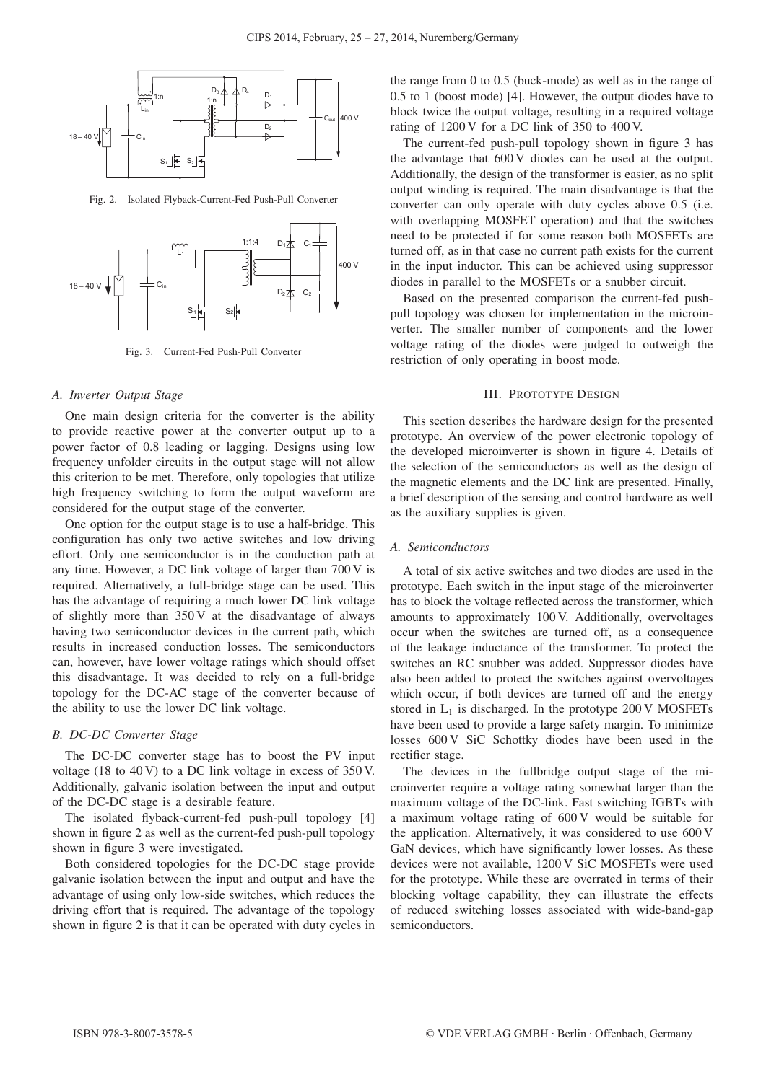

Fig. 2. Isolated Flyback-Current-Fed Push-Pull Converter



Fig. 3. Current-Fed Push-Pull Converter

#### *A. Inverter Output Stage*

One main design criteria for the converter is the ability to provide reactive power at the converter output up to a power factor of 0.8 leading or lagging. Designs using low frequency unfolder circuits in the output stage will not allow this criterion to be met. Therefore, only topologies that utilize high frequency switching to form the output waveform are considered for the output stage of the converter.

One option for the output stage is to use a half-bridge. This configuration has only two active switches and low driving effort. Only one semiconductor is in the conduction path at any time. However, a DC link voltage of larger than 700 V is required. Alternatively, a full-bridge stage can be used. This has the advantage of requiring a much lower DC link voltage of slightly more than 350 V at the disadvantage of always having two semiconductor devices in the current path, which results in increased conduction losses. The semiconductors can, however, have lower voltage ratings which should offset this disadvantage. It was decided to rely on a full-bridge topology for the DC-AC stage of the converter because of the ability to use the lower DC link voltage.

## *B. DC-DC Converter Stage*

The DC-DC converter stage has to boost the PV input voltage (18 to 40 V) to a DC link voltage in excess of 350 V. Additionally, galvanic isolation between the input and output of the DC-DC stage is a desirable feature.

The isolated flyback-current-fed push-pull topology [4] shown in figure 2 as well as the current-fed push-pull topology shown in figure 3 were investigated.

Both considered topologies for the DC-DC stage provide galvanic isolation between the input and output and have the advantage of using only low-side switches, which reduces the driving effort that is required. The advantage of the topology shown in figure 2 is that it can be operated with duty cycles in the range from 0 to 0.5 (buck-mode) as well as in the range of 0.5 to 1 (boost mode) [4]. However, the output diodes have to block twice the output voltage, resulting in a required voltage rating of 1200 V for a DC link of 350 to 400 V.

The current-fed push-pull topology shown in figure 3 has the advantage that 600 V diodes can be used at the output. Additionally, the design of the transformer is easier, as no split output winding is required. The main disadvantage is that the converter can only operate with duty cycles above 0.5 (i.e. with overlapping MOSFET operation) and that the switches need to be protected if for some reason both MOSFETs are turned off, as in that case no current path exists for the current in the input inductor. This can be achieved using suppressor diodes in parallel to the MOSFETs or a snubber circuit.

Based on the presented comparison the current-fed pushpull topology was chosen for implementation in the microinverter. The smaller number of components and the lower voltage rating of the diodes were judged to outweigh the restriction of only operating in boost mode.

## III. PROTOTYPE DESIGN

This section describes the hardware design for the presented prototype. An overview of the power electronic topology of the developed microinverter is shown in figure 4. Details of the selection of the semiconductors as well as the design of the magnetic elements and the DC link are presented. Finally, a brief description of the sensing and control hardware as well as the auxiliary supplies is given.

## *A. Semiconductors*

A total of six active switches and two diodes are used in the prototype. Each switch in the input stage of the microinverter has to block the voltage reflected across the transformer, which amounts to approximately 100 V. Additionally, overvoltages occur when the switches are turned off, as a consequence of the leakage inductance of the transformer. To protect the switches an RC snubber was added. Suppressor diodes have also been added to protect the switches against overvoltages which occur, if both devices are turned off and the energy stored in  $L_1$  is discharged. In the prototype 200 V MOSFETs have been used to provide a large safety margin. To minimize losses 600 V SiC Schottky diodes have been used in the rectifier stage.

The devices in the fullbridge output stage of the microinverter require a voltage rating somewhat larger than the maximum voltage of the DC-link. Fast switching IGBTs with a maximum voltage rating of 600 V would be suitable for the application. Alternatively, it was considered to use 600 V GaN devices, which have significantly lower losses. As these devices were not available, 1200 V SiC MOSFETs were used for the prototype. While these are overrated in terms of their blocking voltage capability, they can illustrate the effects of reduced switching losses associated with wide-band-gap semiconductors.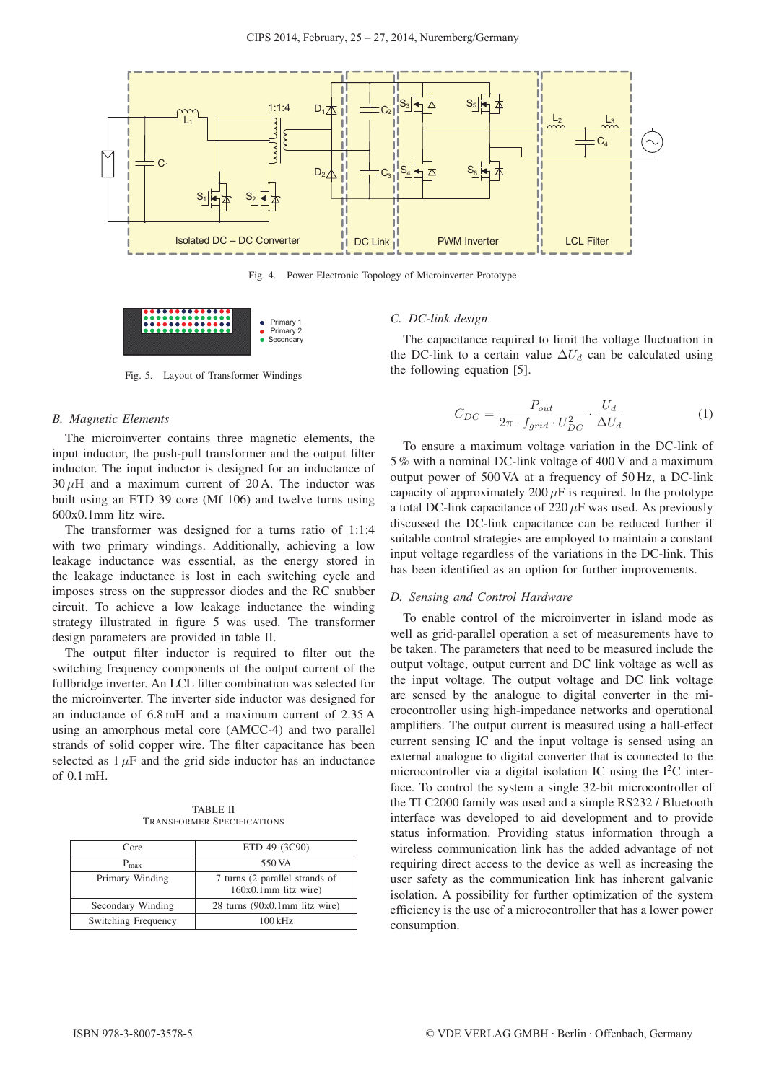

Fig. 4. Power Electronic Topology of Microinverter Prototype



Fig. 5. Layout of Transformer Windings

#### *B. Magnetic Elements*

The microinverter contains three magnetic elements, the input inductor, the push-pull transformer and the output filter inductor. The input inductor is designed for an inductance of  $30 \mu$ H and a maximum current of 20 A. The inductor was built using an ETD 39 core (Mf 106) and twelve turns using 600x0.1mm litz wire.

The transformer was designed for a turns ratio of 1:1:4 with two primary windings. Additionally, achieving a low leakage inductance was essential, as the energy stored in the leakage inductance is lost in each switching cycle and imposes stress on the suppressor diodes and the RC snubber circuit. To achieve a low leakage inductance the winding strategy illustrated in figure 5 was used. The transformer design parameters are provided in table II.

The output filter inductor is required to filter out the switching frequency components of the output current of the fullbridge inverter. An LCL filter combination was selected for the microinverter. The inverter side inductor was designed for an inductance of 6.8 mH and a maximum current of 2.35 A using an amorphous metal core (AMCC-4) and two parallel strands of solid copper wire. The filter capacitance has been selected as  $1 \mu$ F and the grid side inductor has an inductance of 0.1 mH.

TABLE II TRANSFORMER SPECIFICATIONS

| Core                | ETD 49 (3C90)                                             |
|---------------------|-----------------------------------------------------------|
| $P_{\text{max}}$    | 550 VA                                                    |
| Primary Winding     | 7 turns (2 parallel strands of<br>$160x0.1$ mm litz wire) |
| Secondary Winding   | 28 turns (90x0.1mm litz wire)                             |
| Switching Frequency | $100$ kHz                                                 |

#### *C. DC-link design*

The capacitance required to limit the voltage fluctuation in the DC-link to a certain value  $\Delta U_d$  can be calculated using the following equation [5].

$$
C_{DC} = \frac{P_{out}}{2\pi \cdot f_{grid} \cdot U_{DC}^2} \cdot \frac{U_d}{\Delta U_d} \tag{1}
$$

To ensure a maximum voltage variation in the DC-link of 5 % with a nominal DC-link voltage of 400 V and a maximum output power of 500 VA at a frequency of 50 Hz, a DC-link capacity of approximately  $200 \mu$ F is required. In the prototype a total DC-link capacitance of  $220 \mu$ F was used. As previously discussed the DC-link capacitance can be reduced further if suitable control strategies are employed to maintain a constant input voltage regardless of the variations in the DC-link. This has been identified as an option for further improvements.

## *D. Sensing and Control Hardware*

To enable control of the microinverter in island mode as well as grid-parallel operation a set of measurements have to be taken. The parameters that need to be measured include the output voltage, output current and DC link voltage as well as the input voltage. The output voltage and DC link voltage are sensed by the analogue to digital converter in the microcontroller using high-impedance networks and operational amplifiers. The output current is measured using a hall-effect current sensing IC and the input voltage is sensed using an external analogue to digital converter that is connected to the microcontroller via a digital isolation IC using the  $I<sup>2</sup>C$  interface. To control the system a single 32-bit microcontroller of the TI C2000 family was used and a simple RS232 / Bluetooth interface was developed to aid development and to provide status information. Providing status information through a wireless communication link has the added advantage of not requiring direct access to the device as well as increasing the user safety as the communication link has inherent galvanic isolation. A possibility for further optimization of the system efficiency is the use of a microcontroller that has a lower power consumption.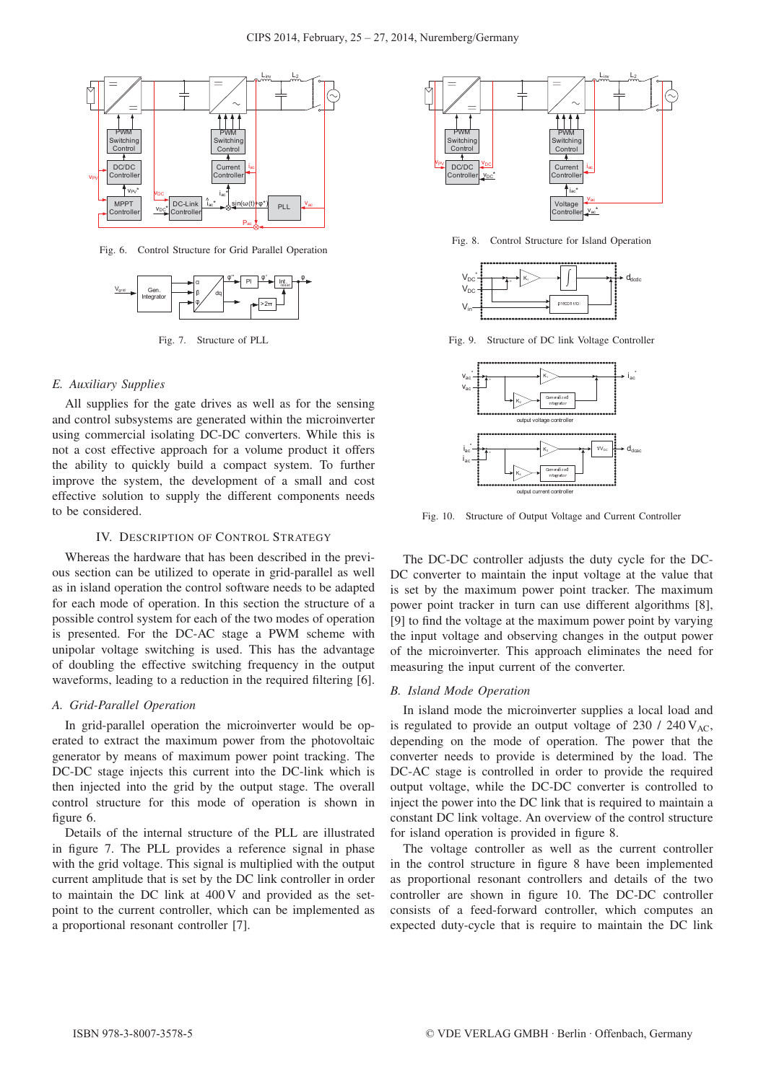

Fig. 6. Control Structure for Grid Parallel Operation



Fig. 7. Structure of PLL

## *E. Auxiliary Supplies*

All supplies for the gate drives as well as for the sensing and control subsystems are generated within the microinverter using commercial isolating DC-DC converters. While this is not a cost effective approach for a volume product it offers the ability to quickly build a compact system. To further improve the system, the development of a small and cost effective solution to supply the different components needs to be considered.

#### IV. DESCRIPTION OF CONTROL STRATEGY

Whereas the hardware that has been described in the previous section can be utilized to operate in grid-parallel as well as in island operation the control software needs to be adapted for each mode of operation. In this section the structure of a possible control system for each of the two modes of operation is presented. For the DC-AC stage a PWM scheme with unipolar voltage switching is used. This has the advantage of doubling the effective switching frequency in the output waveforms, leading to a reduction in the required filtering [6].

#### *A. Grid-Parallel Operation*

In grid-parallel operation the microinverter would be operated to extract the maximum power from the photovoltaic generator by means of maximum power point tracking. The DC-DC stage injects this current into the DC-link which is then injected into the grid by the output stage. The overall control structure for this mode of operation is shown in figure 6.

Details of the internal structure of the PLL are illustrated in figure 7. The PLL provides a reference signal in phase with the grid voltage. This signal is multiplied with the output current amplitude that is set by the DC link controller in order to maintain the DC link at 400 V and provided as the setpoint to the current controller, which can be implemented as a proportional resonant controller [7].



Fig. 8. Control Structure for Island Operation



Fig. 9. Structure of DC link Voltage Controller



Fig. 10. Structure of Output Voltage and Current Controller

The DC-DC controller adjusts the duty cycle for the DC-DC converter to maintain the input voltage at the value that is set by the maximum power point tracker. The maximum power point tracker in turn can use different algorithms [8], [9] to find the voltage at the maximum power point by varying the input voltage and observing changes in the output power of the microinverter. This approach eliminates the need for measuring the input current of the converter.

#### *B. Island Mode Operation*

In island mode the microinverter supplies a local load and is regulated to provide an output voltage of  $230 / 240 V_{AC}$ , depending on the mode of operation. The power that the converter needs to provide is determined by the load. The DC-AC stage is controlled in order to provide the required output voltage, while the DC-DC converter is controlled to inject the power into the DC link that is required to maintain a constant DC link voltage. An overview of the control structure for island operation is provided in figure 8.

The voltage controller as well as the current controller in the control structure in figure 8 have been implemented as proportional resonant controllers and details of the two controller are shown in figure 10. The DC-DC controller consists of a feed-forward controller, which computes an expected duty-cycle that is require to maintain the DC link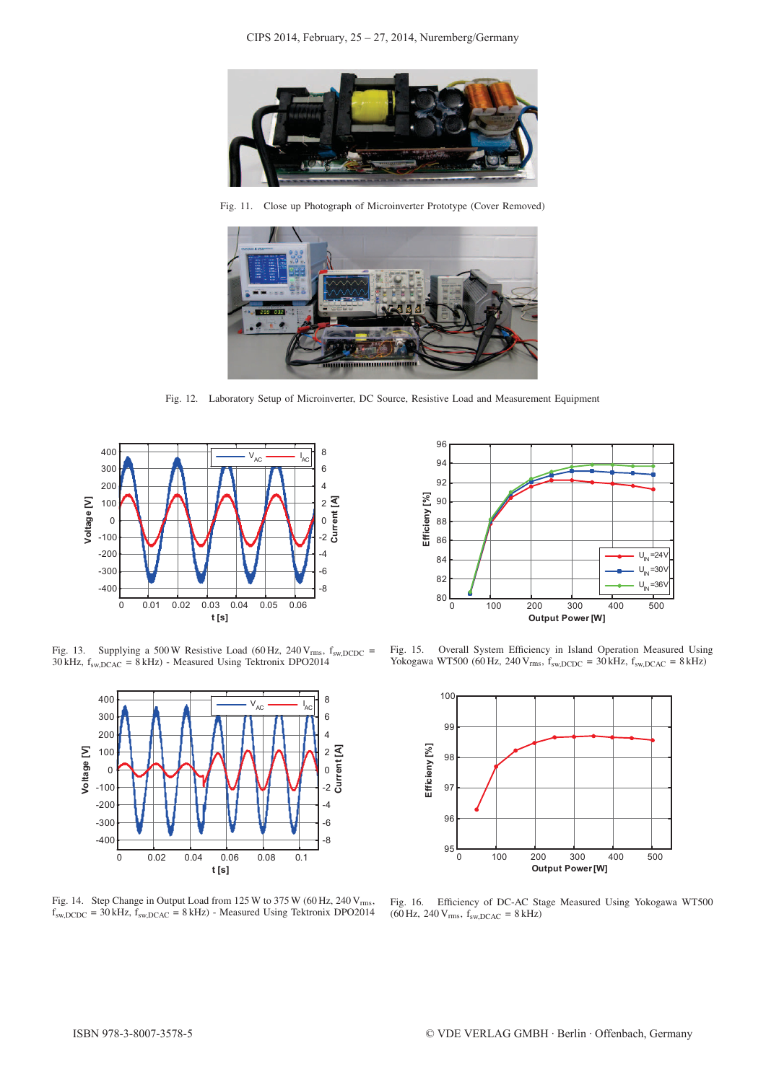

Fig. 11. Close up Photograph of Microinverter Prototype (Cover Removed)



Fig. 12. Laboratory Setup of Microinverter, DC Source, Resistive Load and Measurement Equipment



Fig. 13. Supplying a 500 W Resistive Load (60 Hz, 240 V<sub>rms</sub>,  $f_{sw, DCDC}$  =  $30 \text{ kHz}$ ,  $f_{sw,DCAC} = 8 \text{ kHz}$ ) - Measured Using Tektronix DPO2014



Fig. 14. Step Change in Output Load from  $125 \text{ W}$  to  $375 \text{ W}$  (60 Hz,  $240 \text{ V}_{\text{rms}}$ ,  $f_{\text{sw,DCDC}} = 30 \text{ kHz}, f_{\text{sw,DCAC}} = 8 \text{ kHz}$ ) - Measured Using Tektronix DPO2014



Fig. 15. Overall System Efficiency in Island Operation Measured Using Yokogawa WT500 (60 Hz, 240 V<sub>rms</sub>,  $f_{sw,DCDC} = 30$  kHz,  $f_{sw,DCAC} = 8$  kHz)



Fig. 16. Efficiency of DC-AC Stage Measured Using Yokogawa WT500 (60 Hz, 240  $V_{\rm rms}$ ,  $f_{\rm sw,DCAC}$  = 8 kHz)